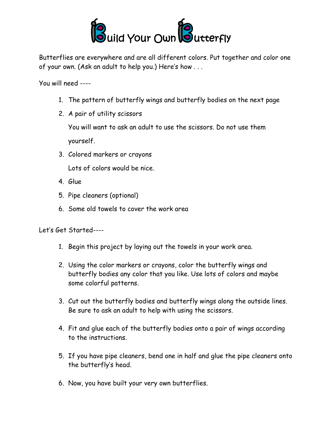

Butterflies are everywhere and are all different colors. Put together and color one of your own. (Ask an adult to help you.) Here's how . . .

You will need ----

- 1. The pattern of butterfly wings and butterfly bodies on the next page
- 2. A pair of utility scissors

You will want to ask an adult to use the scissors. Do not use them yourself.

3. Colored markers or crayons

Lots of colors would be nice.

- 4. Glue
- 5. Pipe cleaners (optional)
- 6. Some old towels to cover the work area

Let's Get Started----

- 1. Begin this project by laying out the towels in your work area.
- 2. Using the color markers or crayons, color the butterfly wings and butterfly bodies any color that you like. Use lots of colors and maybe some colorful patterns.
- 3. Cut out the butterfly bodies and butterfly wings along the outside lines. Be sure to ask an adult to help with using the scissors.
- 4. Fit and glue each of the butterfly bodies onto a pair of wings according to the instructions.
- 5. If you have pipe cleaners, bend one in half and glue the pipe cleaners onto the butterfly's head.
- 6. Now, you have built your very own butterflies.